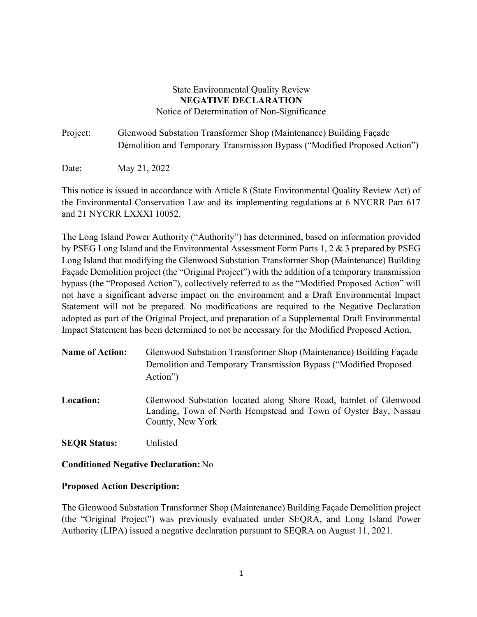## State Environmental Quality Review **NEGATIVE DECLARATION**  Notice of Determination of Non-Significance

Project: Glenwood Substation Transformer Shop (Maintenance) Building Façade Demolition and Temporary Transmission Bypass ("Modified Proposed Action")

Date: May 21, 2022

This notice is issued in accordance with Article 8 (State Environmental Quality Review Act) of the Environmental Conservation Law and its implementing regulations at 6 NYCRR Part 617 and 21 NYCRR LXXXI 10052.

The Long Island Power Authority ("Authority") has determined, based on information provided by PSEG Long Island and the Environmental Assessment Form Parts 1, 2 & 3 prepared by PSEG Long Island that modifying the Glenwood Substation Transformer Shop (Maintenance) Building Façade Demolition project (the "Original Project") with the addition of a temporary transmission bypass (the "Proposed Action"), collectively referred to as the "Modified Proposed Action" will not have a significant adverse impact on the environment and a Draft Environmental Impact Statement will not be prepared. No modifications are required to the Negative Declaration adopted as part of the Original Project, and preparation of a Supplemental Draft Environmental Impact Statement has been determined to not be necessary for the Modified Proposed Action.

- **Name of Action:** Glenwood Substation Transformer Shop (Maintenance) Building Façade Demolition and Temporary Transmission Bypass ("Modified Proposed Action")
- **Location:** Glenwood Substation located along Shore Road, hamlet of Glenwood Landing, Town of North Hempstead and Town of Oyster Bay, Nassau County, New York

**SEQR Status:** Unlisted

**Conditioned Negative Declaration:** No

## **Proposed Action Description:**

The Glenwood Substation Transformer Shop (Maintenance) Building Façade Demolition project (the "Original Project") was previously evaluated under SEQRA, and Long Island Power Authority (LIPA) issued a negative declaration pursuant to SEQRA on August 11, 2021.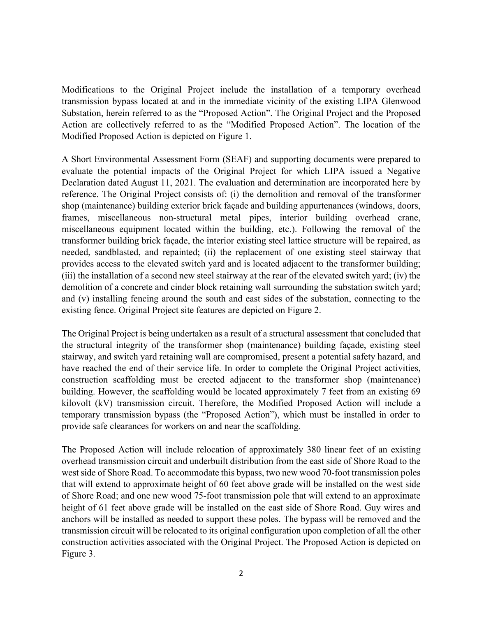Modifications to the Original Project include the installation of a temporary overhead transmission bypass located at and in the immediate vicinity of the existing LIPA Glenwood Substation, herein referred to as the "Proposed Action". The Original Project and the Proposed Action are collectively referred to as the "Modified Proposed Action". The location of the Modified Proposed Action is depicted on Figure 1.

A Short Environmental Assessment Form (SEAF) and supporting documents were prepared to evaluate the potential impacts of the Original Project for which LIPA issued a Negative Declaration dated August 11, 2021. The evaluation and determination are incorporated here by reference. The Original Project consists of: (i) the demolition and removal of the transformer shop (maintenance) building exterior brick façade and building appurtenances (windows, doors, frames, miscellaneous non-structural metal pipes, interior building overhead crane, miscellaneous equipment located within the building, etc.). Following the removal of the transformer building brick façade, the interior existing steel lattice structure will be repaired, as needed, sandblasted, and repainted; (ii) the replacement of one existing steel stairway that provides access to the elevated switch yard and is located adjacent to the transformer building; (iii) the installation of a second new steel stairway at the rear of the elevated switch yard; (iv) the demolition of a concrete and cinder block retaining wall surrounding the substation switch yard; and (v) installing fencing around the south and east sides of the substation, connecting to the existing fence. Original Project site features are depicted on Figure 2.

The Original Project is being undertaken as a result of a structural assessment that concluded that the structural integrity of the transformer shop (maintenance) building façade, existing steel stairway, and switch yard retaining wall are compromised, present a potential safety hazard, and have reached the end of their service life. In order to complete the Original Project activities, construction scaffolding must be erected adjacent to the transformer shop (maintenance) building. However, the scaffolding would be located approximately 7 feet from an existing 69 kilovolt (kV) transmission circuit. Therefore, the Modified Proposed Action will include a temporary transmission bypass (the "Proposed Action"), which must be installed in order to provide safe clearances for workers on and near the scaffolding.

The Proposed Action will include relocation of approximately 380 linear feet of an existing overhead transmission circuit and underbuilt distribution from the east side of Shore Road to the west side of Shore Road. To accommodate this bypass, two new wood 70-foot transmission poles that will extend to approximate height of 60 feet above grade will be installed on the west side of Shore Road; and one new wood 75-foot transmission pole that will extend to an approximate height of 61 feet above grade will be installed on the east side of Shore Road. Guy wires and anchors will be installed as needed to support these poles. The bypass will be removed and the transmission circuit will be relocated to its original configuration upon completion of all the other construction activities associated with the Original Project. The Proposed Action is depicted on Figure 3.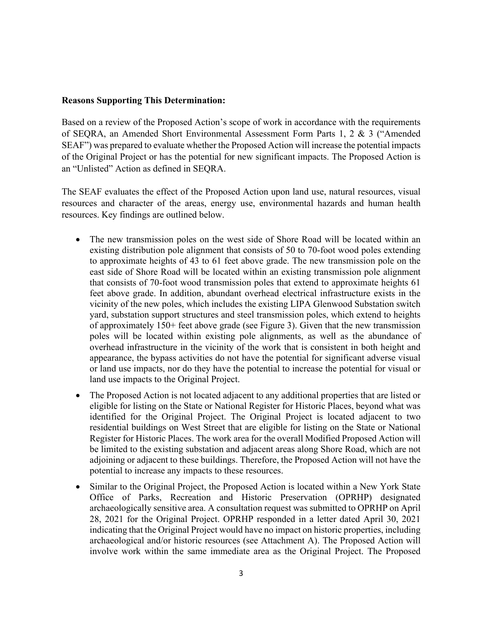## **Reasons Supporting This Determination:**

Based on a review of the Proposed Action's scope of work in accordance with the requirements of SEQRA, an Amended Short Environmental Assessment Form Parts 1, 2 & 3 ("Amended SEAF") was prepared to evaluate whether the Proposed Action will increase the potential impacts of the Original Project or has the potential for new significant impacts. The Proposed Action is an "Unlisted" Action as defined in SEQRA.

The SEAF evaluates the effect of the Proposed Action upon land use, natural resources, visual resources and character of the areas, energy use, environmental hazards and human health resources. Key findings are outlined below.

- The new transmission poles on the west side of Shore Road will be located within an existing distribution pole alignment that consists of 50 to 70-foot wood poles extending to approximate heights of 43 to 61 feet above grade. The new transmission pole on the east side of Shore Road will be located within an existing transmission pole alignment that consists of 70-foot wood transmission poles that extend to approximate heights 61 feet above grade. In addition, abundant overhead electrical infrastructure exists in the vicinity of the new poles, which includes the existing LIPA Glenwood Substation switch yard, substation support structures and steel transmission poles, which extend to heights of approximately 150+ feet above grade (see Figure 3). Given that the new transmission poles will be located within existing pole alignments, as well as the abundance of overhead infrastructure in the vicinity of the work that is consistent in both height and appearance, the bypass activities do not have the potential for significant adverse visual or land use impacts, nor do they have the potential to increase the potential for visual or land use impacts to the Original Project.
- The Proposed Action is not located adjacent to any additional properties that are listed or eligible for listing on the State or National Register for Historic Places, beyond what was identified for the Original Project. The Original Project is located adjacent to two residential buildings on West Street that are eligible for listing on the State or National Register for Historic Places. The work area for the overall Modified Proposed Action will be limited to the existing substation and adjacent areas along Shore Road, which are not adjoining or adjacent to these buildings. Therefore, the Proposed Action will not have the potential to increase any impacts to these resources.
- Similar to the Original Project, the Proposed Action is located within a New York State Office of Parks, Recreation and Historic Preservation (OPRHP) designated archaeologically sensitive area. A consultation request was submitted to OPRHP on April 28, 2021 for the Original Project. OPRHP responded in a letter dated April 30, 2021 indicating that the Original Project would have no impact on historic properties, including archaeological and/or historic resources (see Attachment A). The Proposed Action will involve work within the same immediate area as the Original Project. The Proposed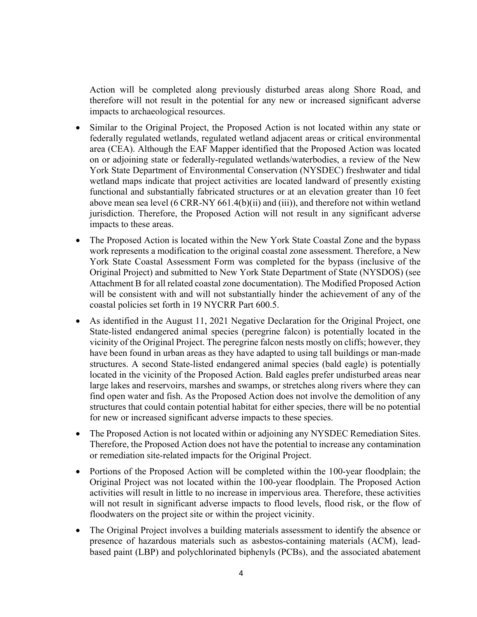Action will be completed along previously disturbed areas along Shore Road, and therefore will not result in the potential for any new or increased significant adverse impacts to archaeological resources.

- Similar to the Original Project, the Proposed Action is not located within any state or federally regulated wetlands, regulated wetland adjacent areas or critical environmental area (CEA). Although the EAF Mapper identified that the Proposed Action was located on or adjoining state or federally-regulated wetlands/waterbodies, a review of the New York State Department of Environmental Conservation (NYSDEC) freshwater and tidal wetland maps indicate that project activities are located landward of presently existing functional and substantially fabricated structures or at an elevation greater than 10 feet above mean sea level (6 CRR-NY 661.4(b)(ii) and (iii)), and therefore not within wetland jurisdiction. Therefore, the Proposed Action will not result in any significant adverse impacts to these areas.
- The Proposed Action is located within the New York State Coastal Zone and the bypass work represents a modification to the original coastal zone assessment. Therefore, a New York State Coastal Assessment Form was completed for the bypass (inclusive of the Original Project) and submitted to New York State Department of State (NYSDOS) (see Attachment B for all related coastal zone documentation). The Modified Proposed Action will be consistent with and will not substantially hinder the achievement of any of the coastal policies set forth in 19 NYCRR Part 600.5.
- As identified in the August 11, 2021 Negative Declaration for the Original Project, one State-listed endangered animal species (peregrine falcon) is potentially located in the vicinity of the Original Project. The peregrine falcon nests mostly on cliffs; however, they have been found in urban areas as they have adapted to using tall buildings or man-made structures. A second State-listed endangered animal species (bald eagle) is potentially located in the vicinity of the Proposed Action. Bald eagles prefer undisturbed areas near large lakes and reservoirs, marshes and swamps, or stretches along rivers where they can find open water and fish. As the Proposed Action does not involve the demolition of any structures that could contain potential habitat for either species, there will be no potential for new or increased significant adverse impacts to these species.
- The Proposed Action is not located within or adjoining any NYSDEC Remediation Sites. Therefore, the Proposed Action does not have the potential to increase any contamination or remediation site-related impacts for the Original Project.
- Portions of the Proposed Action will be completed within the 100-year floodplain; the Original Project was not located within the 100-year floodplain. The Proposed Action activities will result in little to no increase in impervious area. Therefore, these activities will not result in significant adverse impacts to flood levels, flood risk, or the flow of floodwaters on the project site or within the project vicinity.
- The Original Project involves a building materials assessment to identify the absence or presence of hazardous materials such as asbestos-containing materials (ACM), leadbased paint (LBP) and polychlorinated biphenyls (PCBs), and the associated abatement